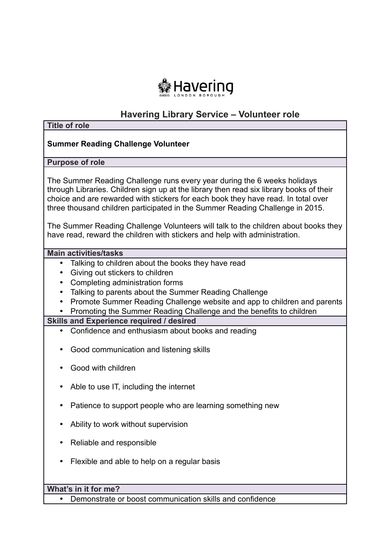

# **Havering Library Service – Volunteer role**

| <b>Title of role</b>                                                                                                                                                                                                                                                                                                                                                                                                                                                                                          |
|---------------------------------------------------------------------------------------------------------------------------------------------------------------------------------------------------------------------------------------------------------------------------------------------------------------------------------------------------------------------------------------------------------------------------------------------------------------------------------------------------------------|
| <b>Summer Reading Challenge Volunteer</b>                                                                                                                                                                                                                                                                                                                                                                                                                                                                     |
| <b>Purpose of role</b>                                                                                                                                                                                                                                                                                                                                                                                                                                                                                        |
| The Summer Reading Challenge runs every year during the 6 weeks holidays<br>through Libraries. Children sign up at the library then read six library books of their<br>choice and are rewarded with stickers for each book they have read. In total over<br>three thousand children participated in the Summer Reading Challenge in 2015.<br>The Summer Reading Challenge Volunteers will talk to the children about books they<br>have read, reward the children with stickers and help with administration. |
| <b>Main activities/tasks</b>                                                                                                                                                                                                                                                                                                                                                                                                                                                                                  |
| Talking to children about the books they have read<br>$\bullet$<br>Giving out stickers to children<br>$\bullet$<br>Completing administration forms<br>$\bullet$<br>Talking to parents about the Summer Reading Challenge<br>Promote Summer Reading Challenge website and app to children and parents<br>$\bullet$                                                                                                                                                                                             |
| Promoting the Summer Reading Challenge and the benefits to children<br><b>Skills and Experience required / desired</b>                                                                                                                                                                                                                                                                                                                                                                                        |
| Confidence and enthusiasm about books and reading                                                                                                                                                                                                                                                                                                                                                                                                                                                             |
| Good communication and listening skills<br>Good with children<br>$\bullet$                                                                                                                                                                                                                                                                                                                                                                                                                                    |
| Able to use IT, including the internet                                                                                                                                                                                                                                                                                                                                                                                                                                                                        |
| Patience to support people who are learning something new                                                                                                                                                                                                                                                                                                                                                                                                                                                     |
| Ability to work without supervision                                                                                                                                                                                                                                                                                                                                                                                                                                                                           |
| Reliable and responsible                                                                                                                                                                                                                                                                                                                                                                                                                                                                                      |
| Flexible and able to help on a regular basis                                                                                                                                                                                                                                                                                                                                                                                                                                                                  |
|                                                                                                                                                                                                                                                                                                                                                                                                                                                                                                               |
| What's in it for me?                                                                                                                                                                                                                                                                                                                                                                                                                                                                                          |
| Demonstrate or boost communication skills and confidence<br>$\bullet$                                                                                                                                                                                                                                                                                                                                                                                                                                         |